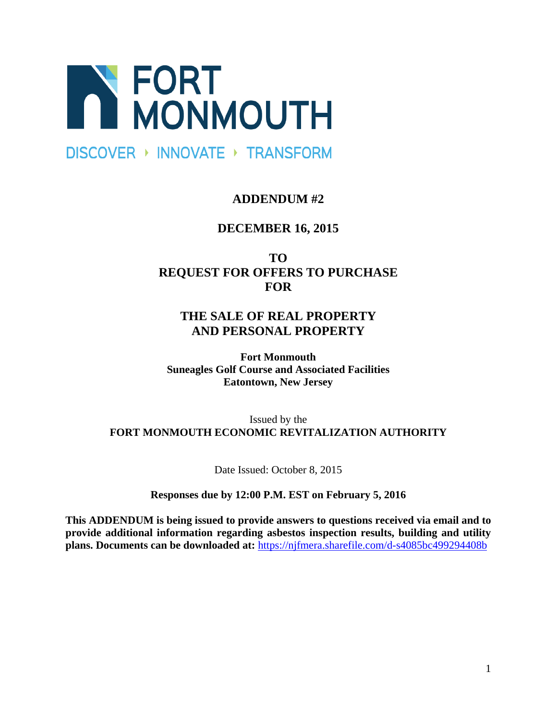

# **DISCOVER ▶ INNOVATE ▶ TRANSFORM**

# **ADDENDUM #2**

# **DECEMBER 16, 2015**

**TO REQUEST FOR OFFERS TO PURCHASE FOR** 

# **THE SALE OF REAL PROPERTY AND PERSONAL PROPERTY**

**Fort Monmouth Suneagles Golf Course and Associated Facilities Eatontown, New Jersey** 

## Issued by the **FORT MONMOUTH ECONOMIC REVITALIZATION AUTHORITY**

Date Issued: October 8, 2015

**Responses due by 12:00 P.M. EST on February 5, 2016** 

**This ADDENDUM is being issued to provide answers to questions received via email and to provide additional information regarding asbestos inspection results, building and utility plans. Documents can be downloaded at:** https://njfmera.sharefile.com/d-s4085bc499294408b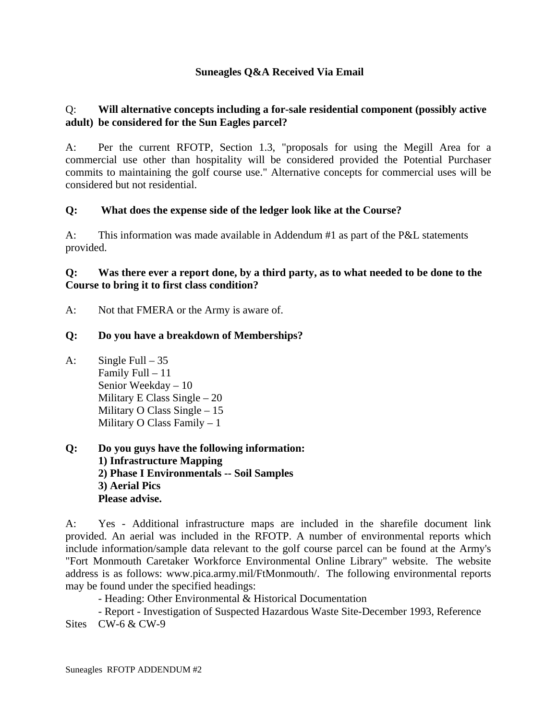### **Suneagles Q&A Received Via Email**

#### Q: **Will alternative concepts including a for-sale residential component (possibly active adult) be considered for the Sun Eagles parcel?**

A: Per the current RFOTP, Section 1.3, "proposals for using the Megill Area for a commercial use other than hospitality will be considered provided the Potential Purchaser commits to maintaining the golf course use." Alternative concepts for commercial uses will be considered but not residential.

### **Q: What does the expense side of the ledger look like at the Course?**

A: This information was made available in Addendum #1 as part of the P&L statements provided.

#### **Q: Was there ever a report done, by a third party, as to what needed to be done to the Course to bring it to first class condition?**

A: Not that FMERA or the Army is aware of.

#### **Q: Do you have a breakdown of Memberships?**

- A: Single Full  $-35$  Family Full – 11 Senior Weekday – 10 Military E Class Single – 20 Military O Class Single – 15 Military O Class Family – 1
- **Q: Do you guys have the following information: 1) Infrastructure Mapping 2) Phase I Environmentals -- Soil Samples 3) Aerial Pics Please advise.**

A: Yes - Additional infrastructure maps are included in the sharefile document link provided. An aerial was included in the RFOTP. A number of environmental reports which include information/sample data relevant to the golf course parcel can be found at the Army's "Fort Monmouth Caretaker Workforce Environmental Online Library" website. The website address is as follows: www.pica.army.mil/FtMonmouth/. The following environmental reports may be found under the specified headings:

- Heading: Other Environmental & Historical Documentation

 - Report - Investigation of Suspected Hazardous Waste Site-December 1993, Reference Sites CW-6 & CW-9